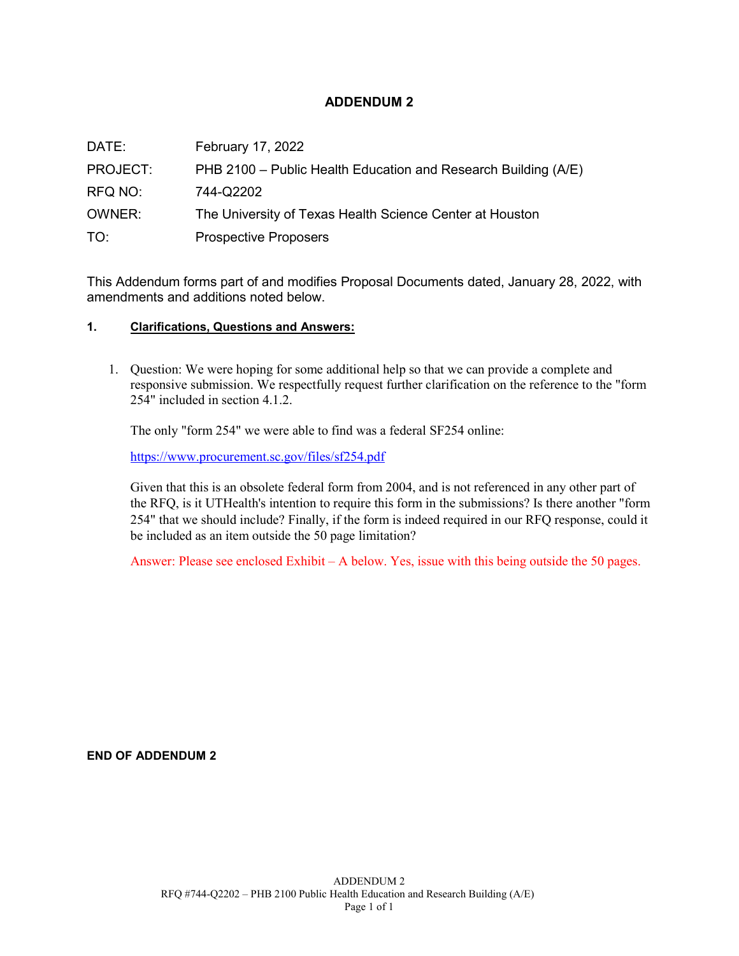### **ADDENDUM 2**

| DATE:    | February 17, 2022                                              |
|----------|----------------------------------------------------------------|
| PROJECT: | PHB 2100 – Public Health Education and Research Building (A/E) |
| RFQ NO:  | 744-Q2202                                                      |
| OWNER:   | The University of Texas Health Science Center at Houston       |
| TO:      | <b>Prospective Proposers</b>                                   |

This Addendum forms part of and modifies Proposal Documents dated, January 28, 2022, with amendments and additions noted below.

#### **1. Clarifications, Questions and Answers:**

1. Question: We were hoping for some additional help so that we can provide a complete and responsive submission. We respectfully request further clarification on the reference to the "form 254" included in section 4.1.2.

The only "form 254" we were able to find was a federal SF254 online:

[https://www.procurement.sc.gov/files/sf254.pdf](https://urldefense.proofpoint.com/v2/url?u=https-3A__www.procurement.sc.gov_files_sf254.pdf&d=DwMFAg&c=bKRySV-ouEg_AT-w2QWsTdd9X__KYh9Eq2fdmQDVZgw&r=06XZGUeyP3i8DhN_p2y-p-X_EaLvARglmz7M-ExEzP4&m=t9EKcoorkTELtdeBPTB34Icga8zWOMUqnAbhGiszpcc&s=9erH51N9Mq1YJJQHhgUlydfRaxL4cHBh1SeJjYlg8MY&e=)

Given that this is an obsolete federal form from 2004, and is not referenced in any other part of the RFQ, is it UTHealth's intention to require this form in the submissions? Is there another "form 254" that we should include? Finally, if the form is indeed required in our RFQ response, could it be included as an item outside the 50 page limitation?

Answer: Please see enclosed Exhibit – A below. Yes, issue with this being outside the 50 pages.

**END OF ADDENDUM 2**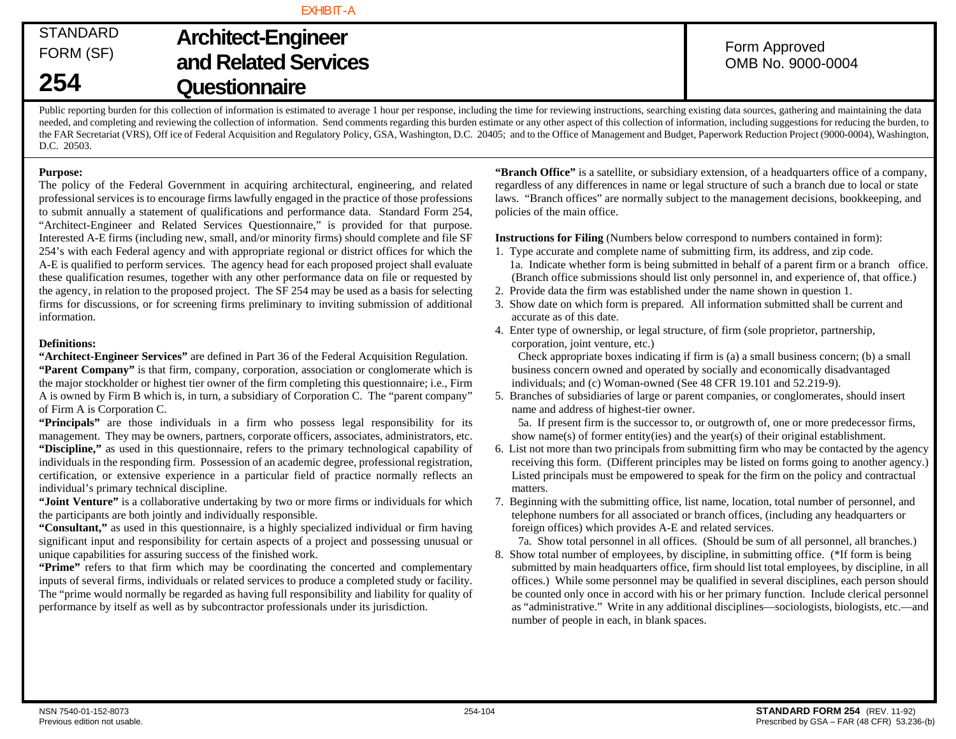## **STANDARD** FORM (SF)

# **Architect-Engineer and Related Services Questionnaire**

### Form Approved OMB No. 9000-0004

Public reporting burden for this collection of information is estimated to average 1 hour per response, including the time for reviewing instructions, searching existing data sources, gathering and maintaining the data needed, and completing and reviewing the collection of information. Send comments regarding this burden estimate or any other aspect of this collection of information, including suggestions for reducing the burden, to the FAR Secretariat (VRS), Off ice of Federal Acquisition and Regulatory Policy, GSA, Washington, D.C. 20405; and to the Office of Management and Budget, Paperwork Reduction Project (9000-0004), Washington, D.C. 20503.

#### **Purpose:**

**254** 

The policy of the Federal Government in acquiring architectural, engineering, and related professional services is to encourage firms lawfully engaged in the practice of those professions to submit annually a statement of qualifications and performance data. Standard Form 254, "Architect-Engineer and Related Services Questionnaire," is provided for that purpose. Interested A-E firms (including new, small, and/or minority firms) should complete and file SF 254's with each Federal agency and with appropriate regional or district offices for which the A-E is qualified to perform services. The agency head for each proposed project shall evaluate these qualification resumes, together with any other performance data on file or requested by the agency, in relation to the proposed project. The SF 254 may be used as a basis for selecting firms for discussions, or for screening firms preliminary to inviting submission of additional information.

#### **Definitions:**

**"Architect-Engineer Services"** are defined in Part 36 of the Federal Acquisition Regulation. **"Parent Company"** is that firm, company, corporation, association or conglomerate which is the major stockholder or highest tier owner of the firm completing this questionnaire; i.e., Firm A is owned by Firm B which is, in turn, a subsidiary of Corporation C. The "parent company" of Firm A is Corporation C.

**"Principals"** are those individuals in a firm who possess legal responsibility for its management. They may be owners, partners, corporate officers, associates, administrators, etc. **"Discipline,"** as used in this questionnaire, refers to the primary technological capability of individuals in the responding firm. Possession of an academic degree, professional registration, certification, or extensive experience in a particular field of practice normally reflects an individual's primary technical discipline.

**"Joint Venture"** is a collaborative undertaking by two or more firms or individuals for which the participants are both jointly and individually responsible.

**"Consultant,"** as used in this questionnaire, is a highly specialized individual or firm having significant input and responsibility for certain aspects of a project and possessing unusual or unique capabilities for assuring success of the finished work.

**"Prime"** refers to that firm which may be coordinating the concerted and complementary inputs of several firms, individuals or related services to produce a completed study or facility. The "prime would normally be regarded as having full responsibility and liability for quality of performance by itself as well as by subcontractor professionals under its jurisdiction.

**"Branch Office"** is a satellite, or subsidiary extension, of a headquarters office of a company, regardless of any differences in name or legal structure of such a branch due to local or state laws. "Branch offices" are normally subject to the management decisions, bookkeeping, and policies of the main office.

**Instructions for Filing** (Numbers below correspond to numbers contained in form):

- 1. Type accurate and complete name of submitting firm, its address, and zip code. 1a. Indicate whether form is being submitted in behalf of a parent firm or a branch office. (Branch office submissions should list only personnel in, and experience of, that office.)
- 2. Provide data the firm was established under the name shown in question 1.
- 3. Show date on which form is prepared. All information submitted shall be current and accurate as of this date.
- 4. Enter type of ownership, or legal structure, of firm (sole proprietor, partnership, corporation, joint venture, etc.)

 Check appropriate boxes indicating if firm is (a) a small business concern; (b) a small business concern owned and operated by socially and economically disadvantaged individuals; and (c) Woman-owned (See 48 CFR 19.101 and 52.219-9).

5. Branches of subsidiaries of large or parent companies, or conglomerates, should insert name and address of highest-tier owner.

 5a. If present firm is the successor to, or outgrowth of, one or more predecessor firms, show name(s) of former entity(ies) and the year(s) of their original establishment.

- 6. List not more than two principals from submitting firm who may be contacted by the agency receiving this form. (Different principles may be listed on forms going to another agency.) Listed principals must be empowered to speak for the firm on the policy and contractual matters.
- 7. Beginning with the submitting office, list name, location, total number of personnel, and telephone numbers for all associated or branch offices, (including any headquarters or foreign offices) which provides A-E and related services.

 7a. Show total personnel in all offices. (Should be sum of all personnel, all branches.) 8. Show total number of employees, by discipline, in submitting office. (\*If form is being submitted by main headquarters office, firm should list total employees, by discipline, in all offices.) While some personnel may be qualified in several disciplines, each person should be counted only once in accord with his or her primary function. Include clerical personnel

as "administrative." Write in any additional disciplines—sociologists, biologists, etc.—and

number of people in each, in blank spaces.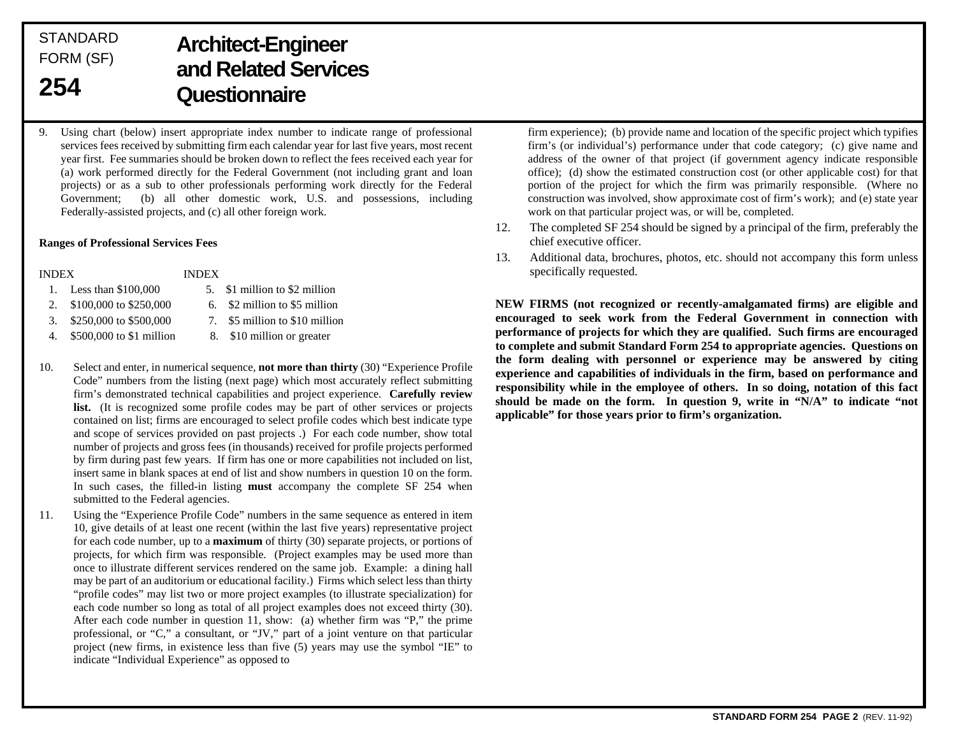**STANDARD** FORM (SF) **254** 

# **Architect-Engineer and Related Services Questionnaire**

9. Using chart (below) insert appropriate index number to indicate range of professional services fees received by submitting firm each calendar year for last five years, most recent year first. Fee summaries should be broken down to reflect the fees received each year for (a) work performed directly for the Federal Government (not including grant and loan projects) or as a sub to other professionals performing work directly for the Federal Government; (b) all other domestic work, U.S. and possessions, including Federally-assisted projects, and (c) all other foreign work.

#### **Ranges of Professional Services Fees**

#### INDEX INDEX

- 
- 1. Less than \$100,000 5. \$1 million to \$2 million
- 
- 2. \$100,000 to \$250,000 6. \$2 million to \$5 million
- 3. \$250,000 to \$500,000 7. \$5 million to \$10 million
- 4. \$500,000 to \$1 million 8. \$10 million or greater
- 10. Select and enter, in numerical sequence, **not more than thirty** (30) "Experience Profile Code" numbers from the listing (next page) which most accurately reflect submitting firm's demonstrated technical capabilities and project experience. **Carefully review list.** (It is recognized some profile codes may be part of other services or projects contained on list; firms are encouraged to select profile codes which best indicate type and scope of services provided on past projects .) For each code number, show total number of projects and gross fees (in thousands) received for profile projects performed by firm during past few years. If firm has one or more capabilities not included on list, insert same in blank spaces at end of list and show numbers in question 10 on the form. In such cases, the filled-in listing **must** accompany the complete SF 254 when submitted to the Federal agencies.
- 11. Using the "Experience Profile Code" numbers in the same sequence as entered in item 10, give details of at least one recent (within the last five years) representative project for each code number, up to a **maximum** of thirty (30) separate projects, or portions of projects, for which firm was responsible. (Project examples may be used more than once to illustrate different services rendered on the same job. Example: a dining hall may be part of an auditorium or educational facility.) Firms which select less than thirty "profile codes" may list two or more project examples (to illustrate specialization) for each code number so long as total of all project examples does not exceed thirty (30). After each code number in question 11, show: (a) whether firm was "P," the prime professional, or "C," a consultant, or "JV," part of a joint venture on that particular project (new firms, in existence less than five (5) years may use the symbol "IE" to indicate "Individual Experience" as opposed to

firm experience); (b) provide name and location of the specific project which typifies firm's (or individual's) performance under that code category; (c) give name and address of the owner of that project (if government agency indicate responsible office); (d) show the estimated construction cost (or other applicable cost) for that portion of the project for which the firm was primarily responsible. (Where no construction was involved, show approximate cost of firm's work); and (e) state year work on that particular project was, or will be, completed.

- 12. The completed SF 254 should be signed by a principal of the firm, preferably the chief executive officer.
- 13. Additional data, brochures, photos, etc. should not accompany this form unless specifically requested.

**NEW FIRMS (not recognized or recently-amalgamated firms) are eligible and encouraged to seek work from the Federal Government in connection with performance of projects for which they are qualified. Such firms are encouraged to complete and submit Standard Form 254 to appropriate agencies. Questions on the form dealing with personnel or experience may be answered by citing experience and capabilities of individuals in the firm, based on performance and responsibility while in the employee of others. In so doing, notation of this fact should be made on the form. In question 9, write in "N/A" to indicate "not applicable" for those years prior to firm's organization.**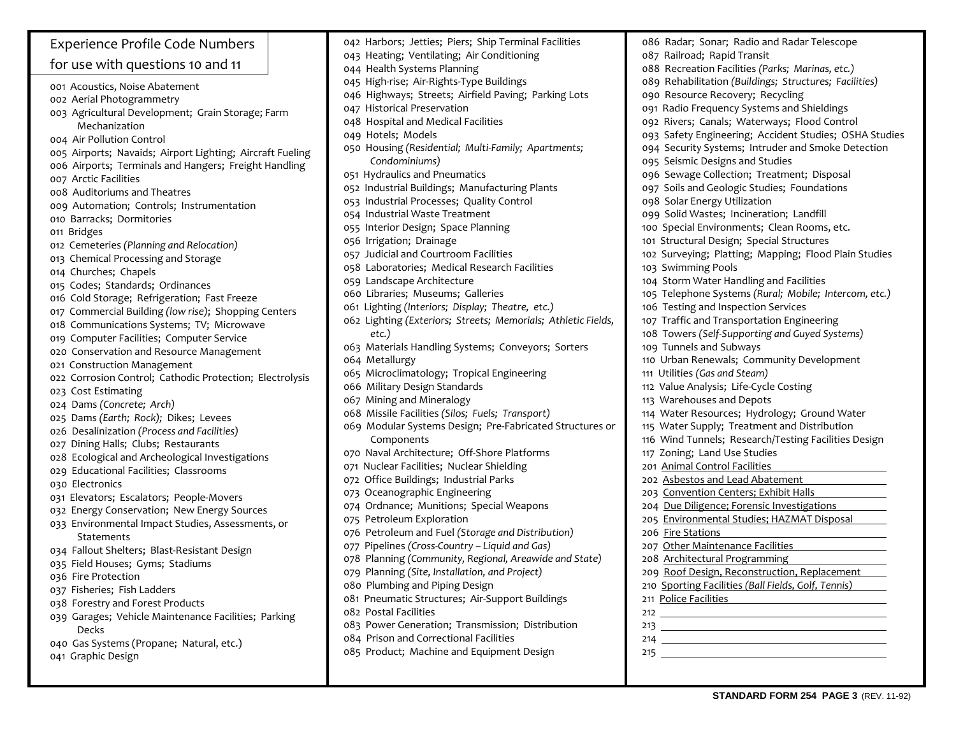| Experience Profile Code Numbers                                                        | 042 Harbors; Jetties; Piers; Ship Terminal Facilities         | 086 Radar; Sonar; Radio and Radar Telescope                                                                                         |
|----------------------------------------------------------------------------------------|---------------------------------------------------------------|-------------------------------------------------------------------------------------------------------------------------------------|
| for use with questions 10 and 11                                                       | 043 Heating; Ventilating; Air Conditioning                    | 087 Railroad; Rapid Transit                                                                                                         |
|                                                                                        | 044 Health Systems Planning                                   | 088 Recreation Facilities (Parks; Marinas, etc.)                                                                                    |
| 001 Acoustics, Noise Abatement                                                         | 045 High-rise; Air-Rights-Type Buildings                      | 089 Rehabilitation (Buildings; Structures; Facilities)                                                                              |
| 002 Aerial Photogrammetry                                                              | 046 Highways; Streets; Airfield Paving; Parking Lots          | 090 Resource Recovery; Recycling                                                                                                    |
| 003 Agricultural Development; Grain Storage; Farm                                      | 047 Historical Preservation                                   | 091 Radio Frequency Systems and Shieldings                                                                                          |
| Mechanization                                                                          | 048 Hospital and Medical Facilities                           | 092 Rivers; Canals; Waterways; Flood Control                                                                                        |
| 004 Air Pollution Control                                                              | 049 Hotels; Models                                            | 093 Safety Engineering; Accident Studies; OSHA Studies                                                                              |
| 005 Airports; Navaids; Airport Lighting; Aircraft Fueling                              | 050 Housing (Residential; Multi-Family; Apartments;           | 094 Security Systems; Intruder and Smoke Detection                                                                                  |
| 006 Airports; Terminals and Hangers; Freight Handling                                  | Condominiums)                                                 | 095 Seismic Designs and Studies                                                                                                     |
| 007 Arctic Facilities                                                                  | 051 Hydraulics and Pneumatics                                 | 096 Sewage Collection; Treatment; Disposal                                                                                          |
| 008 Auditoriums and Theatres                                                           | 052 Industrial Buildings; Manufacturing Plants                | 097 Soils and Geologic Studies; Foundations                                                                                         |
| 009 Automation; Controls; Instrumentation                                              | 053 Industrial Processes; Quality Control                     | 098 Solar Energy Utilization                                                                                                        |
| 010 Barracks; Dormitories                                                              | 054 Industrial Waste Treatment                                | 099 Solid Wastes; Incineration; Landfill                                                                                            |
| 011 Bridges                                                                            | 055 Interior Design; Space Planning                           | 100 Special Environments; Clean Rooms, etc.                                                                                         |
| 012 Cemeteries (Planning and Relocation)                                               | 056 Irrigation; Drainage                                      | 101 Structural Design; Special Structures                                                                                           |
| 013 Chemical Processing and Storage                                                    | 057 Judicial and Courtroom Facilities                         | 102 Surveying; Platting; Mapping; Flood Plain Studies                                                                               |
| 014 Churches; Chapels                                                                  | 058 Laboratories; Medical Research Facilities                 | 103 Swimming Pools                                                                                                                  |
| 015 Codes; Standards; Ordinances                                                       | 059 Landscape Architecture                                    | 104 Storm Water Handling and Facilities                                                                                             |
| 016 Cold Storage; Refrigeration; Fast Freeze                                           | 060 Libraries; Museums; Galleries                             | 105 Telephone Systems (Rural; Mobile; Intercom, etc.)                                                                               |
|                                                                                        | 061 Lighting (Interiors; Display; Theatre, etc.)              | 106 Testing and Inspection Services                                                                                                 |
| 017 Commercial Building (low rise); Shopping Centers                                   | 062 Lighting (Exteriors; Streets; Memorials; Athletic Fields, | 107 Traffic and Transportation Engineering                                                                                          |
| 018 Communications Systems; TV; Microwave<br>019 Computer Facilities; Computer Service | etc.)                                                         | 108 Towers (Self-Supporting and Guyed Systems)                                                                                      |
|                                                                                        | 063 Materials Handling Systems; Conveyors; Sorters            | 109 Tunnels and Subways                                                                                                             |
| 020 Conservation and Resource Management                                               | 064 Metallurgy                                                | 110 Urban Renewals; Community Development                                                                                           |
| 021 Construction Management                                                            | 065 Microclimatology; Tropical Engineering                    | 111 Utilities (Gas and Steam)                                                                                                       |
| 022 Corrosion Control; Cathodic Protection; Electrolysis                               | 066 Military Design Standards                                 | 112 Value Analysis; Life-Cycle Costing                                                                                              |
| 023 Cost Estimating                                                                    | 067 Mining and Mineralogy                                     | 113 Warehouses and Depots                                                                                                           |
| 024 Dams (Concrete; Arch)                                                              | 068 Missile Facilities (Silos; Fuels; Transport)              | 114 Water Resources; Hydrology; Ground Water                                                                                        |
| 025 Dams (Earth; Rock); Dikes; Levees                                                  | 069 Modular Systems Design; Pre-Fabricated Structures or      | 115 Water Supply; Treatment and Distribution                                                                                        |
| 026 Desalinization (Process and Facilities)                                            | Components                                                    | 116 Wind Tunnels; Research/Testing Facilities Design                                                                                |
| 027 Dining Halls; Clubs; Restaurants                                                   | 070 Naval Architecture; Off-Shore Platforms                   | 117 Zoning; Land Use Studies                                                                                                        |
| 028 Ecological and Archeological Investigations                                        | 071 Nuclear Facilities; Nuclear Shielding                     | 201 Animal Control Facilities                                                                                                       |
| 029 Educational Facilities; Classrooms                                                 | 072 Office Buildings; Industrial Parks                        | 202 Asbestos and Lead Abatement                                                                                                     |
| 030 Electronics                                                                        | 073 Oceanographic Engineering                                 | 203 Convention Centers; Exhibit Halls                                                                                               |
| 031 Elevators; Escalators; People-Movers                                               | 074 Ordnance; Munitions; Special Weapons                      | 204 Due Diligence; Forensic Investigations                                                                                          |
| 032 Energy Conservation; New Energy Sources                                            | 075 Petroleum Exploration                                     | 205 Environmental Studies; HAZMAT Disposal                                                                                          |
| 033 Environmental Impact Studies, Assessments, or                                      | 076 Petroleum and Fuel (Storage and Distribution)             | 206 Fire Stations                                                                                                                   |
| <b>Statements</b>                                                                      | 077 Pipelines (Cross-Country - Liquid and Gas)                | 207 Other Maintenance Facilities                                                                                                    |
| 034 Fallout Shelters; Blast-Resistant Design                                           | 078 Planning (Community, Regional, Areawide and State)        | 208 Architectural Programming                                                                                                       |
| 035 Field Houses; Gyms; Stadiums                                                       | 079 Planning (Site, Installation, and Project)                | 209 Roof Design, Reconstruction, Replacement                                                                                        |
| 036 Fire Protection                                                                    | 080 Plumbing and Piping Design                                | 210 Sporting Facilities (Ball Fields, Golf, Tennis)                                                                                 |
| 037 Fisheries; Fish Ladders                                                            | 081 Pneumatic Structures; Air-Support Buildings               | 211 Police Facilities                                                                                                               |
| 038 Forestry and Forest Products                                                       | 082 Postal Facilities                                         |                                                                                                                                     |
| 039 Garages; Vehicle Maintenance Facilities; Parking                                   | 083 Power Generation; Transmission; Distribution              | $\begin{array}{c c c c c} \hline \text{212} & \text{---} & \text{---} & \text{---} & \text{---} & \text{---} \\ \hline \end{array}$ |
| Decks                                                                                  | 084 Prison and Correctional Facilities                        |                                                                                                                                     |
| 040 Gas Systems (Propane; Natural, etc.)                                               | 085 Product; Machine and Equipment Design                     |                                                                                                                                     |
| 041 Graphic Design                                                                     |                                                               | 215                                                                                                                                 |
|                                                                                        |                                                               |                                                                                                                                     |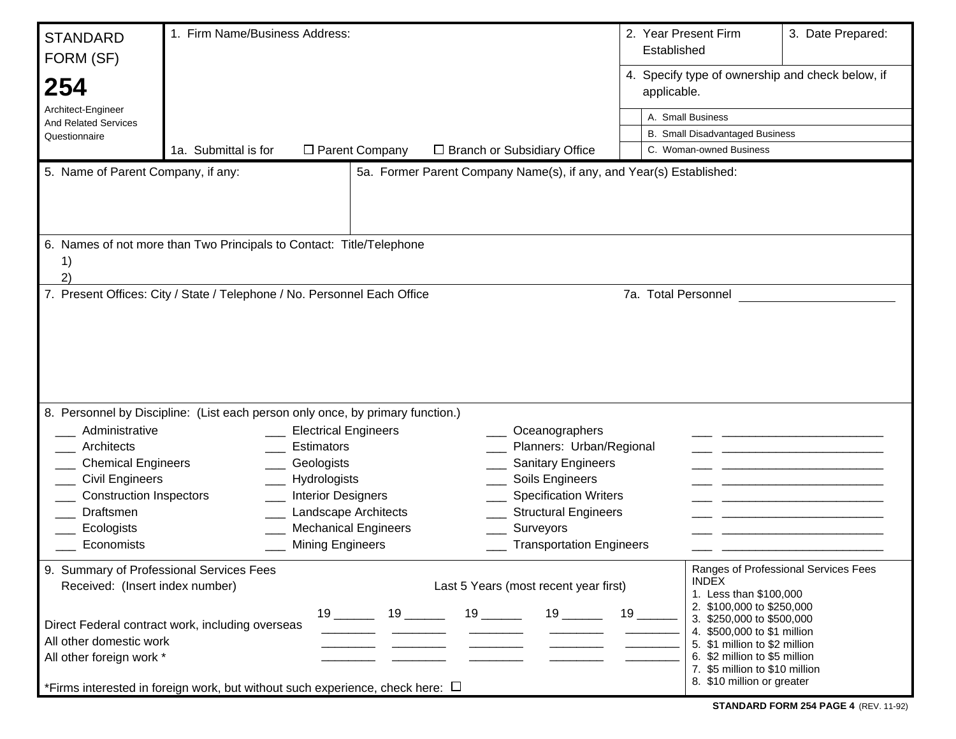| <b>STANDARD</b><br>FORM (SF)                                                | 1. Firm Name/Business Address:                                                     |                                                                                | 2. Year Present Firm<br>Established                                 | 3. Date Prepared:                    |  |  |
|-----------------------------------------------------------------------------|------------------------------------------------------------------------------------|--------------------------------------------------------------------------------|---------------------------------------------------------------------|--------------------------------------|--|--|
| 254                                                                         |                                                                                    |                                                                                | 4. Specify type of ownership and check below, if<br>applicable.     |                                      |  |  |
| Architect-Engineer<br><b>And Related Services</b>                           |                                                                                    |                                                                                | A. Small Business                                                   |                                      |  |  |
| Questionnaire                                                               |                                                                                    |                                                                                | <b>B.</b> Small Disadvantaged Business                              |                                      |  |  |
|                                                                             | 1a. Submittal is for<br>$\Box$ Parent Company                                      | $\Box$ Branch or Subsidiary Office                                             | C. Woman-owned Business                                             |                                      |  |  |
| 5. Name of Parent Company, if any:                                          |                                                                                    | 5a. Former Parent Company Name(s), if any, and Year(s) Established:            |                                                                     |                                      |  |  |
| 1)<br>$\mathbf{2}$                                                          | 6. Names of not more than Two Principals to Contact: Title/Telephone               |                                                                                |                                                                     |                                      |  |  |
|                                                                             | 7. Present Offices: City / State / Telephone / No. Personnel Each Office           |                                                                                | 7a. Total Personnel                                                 |                                      |  |  |
|                                                                             | 8. Personnel by Discipline: (List each person only once, by primary function.)     |                                                                                |                                                                     |                                      |  |  |
| Administrative                                                              | <b>Electrical Engineers</b>                                                        | Oceanographers                                                                 |                                                                     |                                      |  |  |
| Architects                                                                  | <b>Estimators</b>                                                                  | Planners: Urban/Regional                                                       |                                                                     |                                      |  |  |
| <b>Chemical Engineers</b>                                                   | Geologists                                                                         | <b>Sanitary Engineers</b>                                                      |                                                                     |                                      |  |  |
| <b>Civil Engineers</b>                                                      | Hydrologists                                                                       | Soils Engineers                                                                |                                                                     |                                      |  |  |
| <b>Construction Inspectors</b>                                              | <b>Interior Designers</b>                                                          | <b>Specification Writers</b>                                                   |                                                                     |                                      |  |  |
| Draftsmen                                                                   | Landscape Architects                                                               | <b>Structural Engineers</b>                                                    |                                                                     |                                      |  |  |
| Ecologists                                                                  | <b>Mechanical Engineers</b>                                                        | Surveyors                                                                      |                                                                     |                                      |  |  |
| Economists                                                                  | <b>Mining Engineers</b>                                                            | <b>Transportation Engineers</b>                                                |                                                                     |                                      |  |  |
| 9. Summary of Professional Services Fees<br>Received: (Insert index number) |                                                                                    | Last 5 Years (most recent year first)<br>19<br>$19 \underline{\hspace{1.5cm}}$ | <b>INDEX</b><br>1. Less than \$100,000<br>2. \$100,000 to \$250,000 | Ranges of Professional Services Fees |  |  |
|                                                                             | Direct Federal contract work, including overseas                                   |                                                                                | 3. \$250,000 to \$500,000<br>4. \$500,000 to \$1 million            |                                      |  |  |
| All other domestic work                                                     |                                                                                    |                                                                                | 5. \$1 million to \$2 million                                       |                                      |  |  |
| All other foreign work *                                                    |                                                                                    |                                                                                | 6. \$2 million to \$5 million<br>7. \$5 million to \$10 million     |                                      |  |  |
|                                                                             | *Firms interested in foreign work, but without such experience, check here: $\Box$ |                                                                                | 8. \$10 million or greater                                          |                                      |  |  |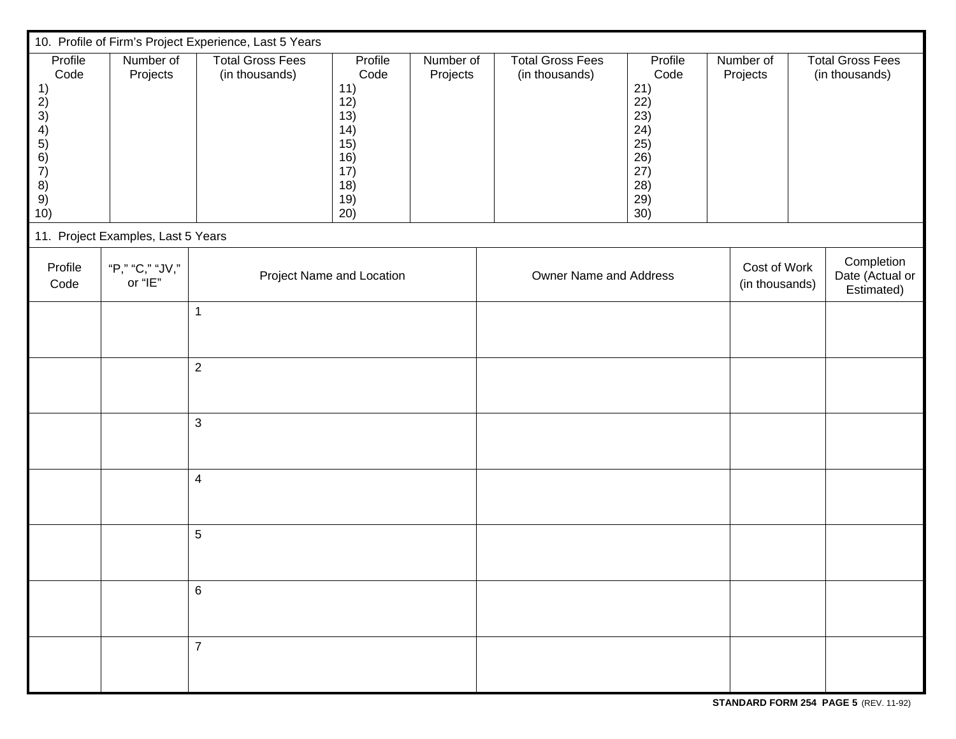| 10. Profile of Firm's Project Experience, Last 5 Years                       |                                    |                                           |                                                                                       |                       |                                           |                                                                                                 |                                |                                             |
|------------------------------------------------------------------------------|------------------------------------|-------------------------------------------|---------------------------------------------------------------------------------------|-----------------------|-------------------------------------------|-------------------------------------------------------------------------------------------------|--------------------------------|---------------------------------------------|
| Profile<br>Code<br>1)<br>2)<br>3)<br>4)<br>5)<br>6)<br>7)<br>8)<br>9)<br>10) | Number of<br>Projects              | <b>Total Gross Fees</b><br>(in thousands) | Profile<br>Code<br>11)<br>12)<br>13)<br>14)<br>15)<br>16)<br>17)<br>18)<br>19)<br>20) | Number of<br>Projects | <b>Total Gross Fees</b><br>(in thousands) | Profile<br>Code<br>21)<br>$\frac{22}{23}$<br>24)<br>$\frac{25}{26}$<br>27)<br>28)<br>29)<br>30) | Number of<br>Projects          | <b>Total Gross Fees</b><br>(in thousands)   |
|                                                                              | 11. Project Examples, Last 5 Years |                                           |                                                                                       |                       |                                           |                                                                                                 |                                |                                             |
| Profile<br>Code                                                              | "P," "C," "JV,"<br>or "IE"         |                                           | Project Name and Location                                                             |                       |                                           | Owner Name and Address                                                                          | Cost of Work<br>(in thousands) | Completion<br>Date (Actual or<br>Estimated) |
|                                                                              |                                    | $\mathbf{1}$                              |                                                                                       |                       |                                           |                                                                                                 |                                |                                             |
|                                                                              |                                    | $\overline{2}$                            |                                                                                       |                       |                                           |                                                                                                 |                                |                                             |
|                                                                              |                                    | $\mathfrak{S}$                            |                                                                                       |                       |                                           |                                                                                                 |                                |                                             |
|                                                                              |                                    | 4                                         |                                                                                       |                       |                                           |                                                                                                 |                                |                                             |
|                                                                              |                                    | $\,$ 5 $\,$                               |                                                                                       |                       |                                           |                                                                                                 |                                |                                             |
|                                                                              |                                    | 6                                         |                                                                                       |                       |                                           |                                                                                                 |                                |                                             |
|                                                                              |                                    | 7                                         |                                                                                       |                       |                                           |                                                                                                 |                                |                                             |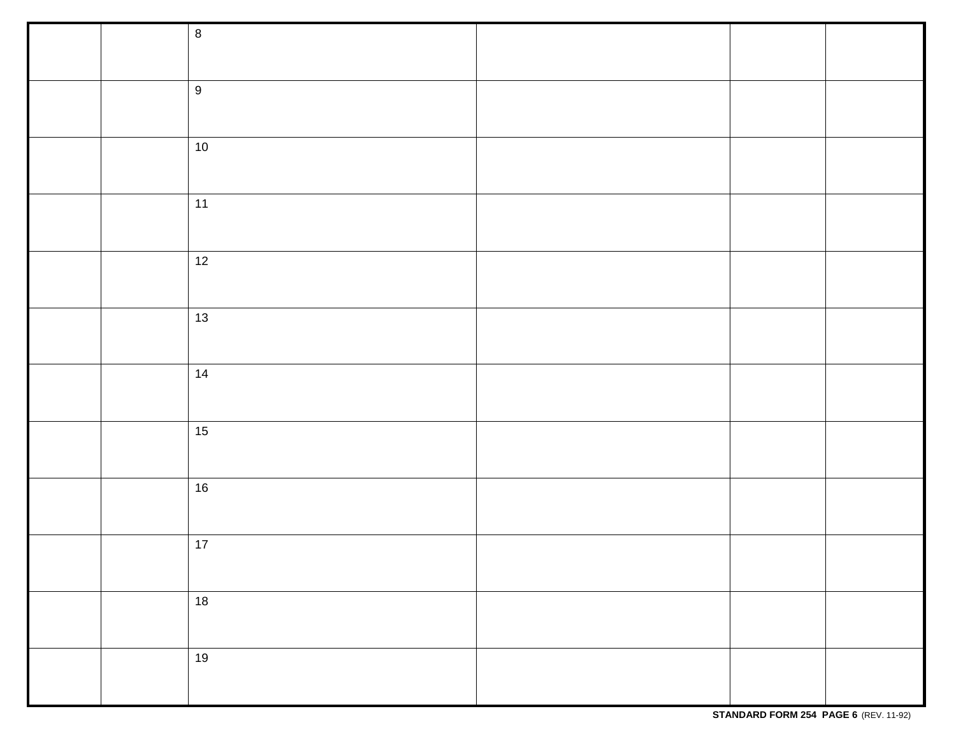|  | $8\phantom{.}$ |  |  |
|--|----------------|--|--|
|  |                |  |  |
|  |                |  |  |
|  |                |  |  |
|  | $9\,$          |  |  |
|  |                |  |  |
|  |                |  |  |
|  |                |  |  |
|  | $10$           |  |  |
|  |                |  |  |
|  |                |  |  |
|  |                |  |  |
|  | 11             |  |  |
|  |                |  |  |
|  |                |  |  |
|  |                |  |  |
|  | 12             |  |  |
|  |                |  |  |
|  |                |  |  |
|  | 13             |  |  |
|  |                |  |  |
|  |                |  |  |
|  |                |  |  |
|  | 14             |  |  |
|  |                |  |  |
|  |                |  |  |
|  |                |  |  |
|  | 15             |  |  |
|  |                |  |  |
|  |                |  |  |
|  |                |  |  |
|  | $16\,$         |  |  |
|  |                |  |  |
|  |                |  |  |
|  |                |  |  |
|  | 17             |  |  |
|  |                |  |  |
|  |                |  |  |
|  |                |  |  |
|  | $18$           |  |  |
|  |                |  |  |
|  |                |  |  |
|  |                |  |  |
|  | 19             |  |  |
|  |                |  |  |
|  |                |  |  |
|  |                |  |  |